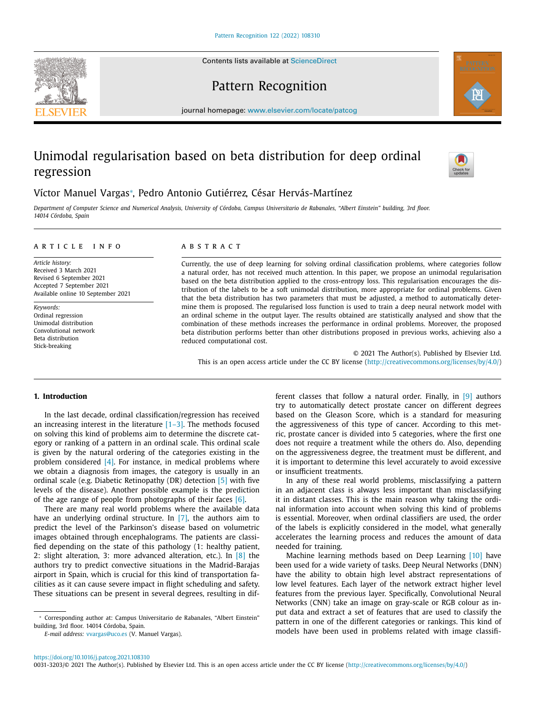Contents lists available at [ScienceDirect](http://www.ScienceDirect.com)





Pattern Recognition

journal homepage: [www.elsevier.com/locate/patcog](http://www.elsevier.com/locate/patcog)

# Unimodal regularisation based on beta distribution for deep ordinal regression



## Víctor Manuel Vargas<sup>∗</sup> , Pedro Antonio Gutiérrez, César Hervás-Martínez

Department of Computer Science and Numerical Analysis, University of Córdoba, Campus Universitario de Rabanales, "Albert Einstein" building, 3rd floor. *14014 Córdoba, Spain*

## a r t i c l e i n f o

*Article history:* Received 3 March 2021 Revised 6 September 2021 Accepted 7 September 2021 Available online 10 September 2021

*Keywords:* Ordinal regression Unimodal distribution Convolutional network Beta distribution Stick-breaking

## A B S T R A C T

Currently, the use of deep learning for solving ordinal classification problems, where categories follow a natural order, has not received much attention. In this paper, we propose an unimodal regularisation based on the beta distribution applied to the cross-entropy loss. This regularisation encourages the distribution of the labels to be a soft unimodal distribution, more appropriate for ordinal problems. Given that the beta distribution has two parameters that must be adjusted, a method to automatically determine them is proposed. The regularised loss function is used to train a deep neural network model with an ordinal scheme in the output layer. The results obtained are statistically analysed and show that the combination of these methods increases the performance in ordinal problems. Moreover, the proposed beta distribution performs better than other distributions proposed in previous works, achieving also a reduced computational cost.

© 2021 The Author(s). Published by Elsevier Ltd. This is an open access article under the CC BY license [\(http://creativecommons.org/licenses/by/4.0/\)](http://creativecommons.org/licenses/by/4.0/)

## **1. Introduction**

In the last decade, ordinal classification/regression has received an increasing interest in the literature  $[1-3]$ . The methods focused on solving this kind of problems aim to determine the discrete category or ranking of a pattern in an ordinal scale. This ordinal scale is given by the natural ordering of the categories existing in the problem considered  $[4]$ . For instance, in medical problems where we obtain a diagnosis from images, the category is usually in an ordinal scale (e.g. Diabetic Retinopathy (DR) detection [\[5\]](#page-8-0) with five levels of the disease). Another possible example is the prediction of the age range of people from photographs of their faces [\[6\].](#page-8-0)

There are many real world problems where the available data have an underlying ordinal structure. In [\[7\],](#page-8-0) the authors aim to predict the level of the Parkinson's disease based on volumetric images obtained through encephalograms. The patients are classified depending on the state of this pathology (1: healthy patient, 2: slight alteration, 3: more advanced alteration, etc.). In  $[8]$  the authors try to predict convective situations in the Madrid-Barajas airport in Spain, which is crucial for this kind of transportation facilities as it can cause severe impact in flight scheduling and safety. These situations can be present in several degrees, resulting in dif-

*E-mail address:* [vvargas@uco.es](mailto:vvargas@uco.es) (V. Manuel Vargas).

ferent classes that follow a natural order. Finally, in [\[9\]](#page-8-0) authors try to automatically detect prostate cancer on different degrees based on the Gleason Score, which is a standard for measuring the aggressiveness of this type of cancer. According to this metric, prostate cancer is divided into 5 categories, where the first one does not require a treatment while the others do. Also, depending on the aggressiveness degree, the treatment must be different, and it is important to determine this level accurately to avoid excessive or insufficient treatments.

In any of these real world problems, misclassifying a pattern in an adjacent class is always less important than misclassifying it in distant classes. This is the main reason why taking the ordinal information into account when solving this kind of problems is essential. Moreover, when ordinal classifiers are used, the order of the labels is explicitly considered in the model, what generally accelerates the learning process and reduces the amount of data needed for training.

Machine learning methods based on Deep Learning [\[10\]](#page-8-0) have been used for a wide variety of tasks. Deep Neural Networks (DNN) have the ability to obtain high level abstract representations of low level features. Each layer of the network extract higher level features from the previous layer. Specifically, Convolutional Neural Networks (CNN) take an image on gray-scale or RGB colour as input data and extract a set of features that are used to classify the pattern in one of the different categories or rankings. This kind of models have been used in problems related with image classifi-

0031-3203/© 2021 The Author(s). Published by Elsevier Ltd. This is an open access article under the CC BY license [\(http://creativecommons.org/licenses/by/4.0/\)](http://creativecommons.org/licenses/by/4.0/)

<sup>∗</sup> Corresponding author at: Campus Universitario de Rabanales, "Albert Einstein" building, 3rd floor. 14014 Córdoba, Spain.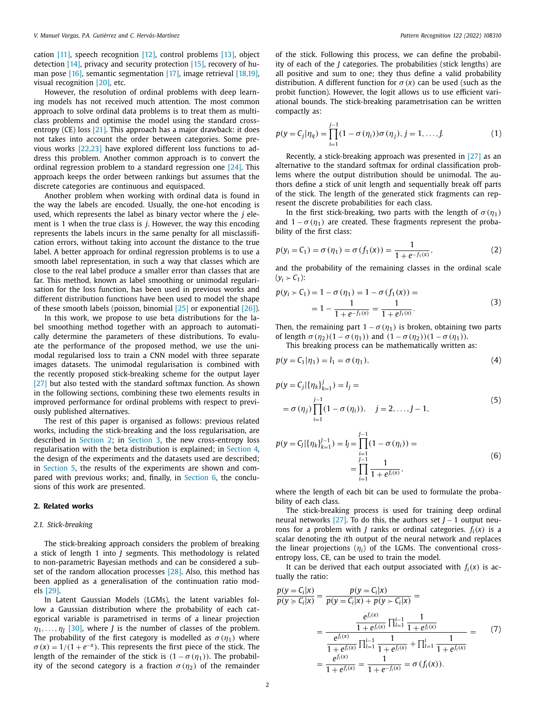<span id="page-1-0"></span>cation [\[11\],](#page-8-0) speech recognition [\[12\],](#page-9-0) control problems [\[13\],](#page-9-0) object detection [\[14\],](#page-9-0) privacy and security protection [\[15\],](#page-9-0) recovery of hu-man pose [\[16\],](#page-9-0) semantic segmentation [\[17\],](#page-9-0) image retrieval [\[18,19\],](#page-9-0) visual recognition [\[20\],](#page-9-0) etc.

However, the resolution of ordinal problems with deep learning models has not received much attention. The most common approach to solve ordinal data problems is to treat them as multiclass problems and optimise the model using the standard cross-entropy (CE) loss [\[21\].](#page-9-0) This approach has a major drawback: it does not takes into account the order between categories. Some previous works [\[22,23\]](#page-9-0) have explored different loss functions to address this problem. Another common approach is to convert the ordinal regression problem to a standard regression one [\[24\].](#page-9-0) This approach keeps the order between rankings but assumes that the discrete categories are continuous and equispaced.

Another problem when working with ordinal data is found in the way the labels are encoded. Usually, the one-hot encoding is used, which represents the label as binary vector where the *j* element is 1 when the true class is *j*. However, the way this encoding represents the labels incurs in the same penalty for all misclassification errors, without taking into account the distance to the true label. A better approach for ordinal regression problems is to use a smooth label representation, in such a way that classes which are close to the real label produce a smaller error than classes that are far. This method, known as label smoothing or unimodal regularisation for the loss function, has been used in previous works and different distribution functions have been used to model the shape of these smooth labels (poisson, binomial [\[25\]](#page-9-0) or exponential [\[26\]\)](#page-9-0).

In this work, we propose to use beta distributions for the label smoothing method together with an approach to automatically determine the parameters of these distributions. To evaluate the performance of the proposed method, we use the unimodal regularised loss to train a CNN model with three separate images datasets. The unimodal regularisation is combined with the recently proposed stick-breaking scheme for the output layer [\[27\]](#page-9-0) but also tested with the standard softmax function. As shown in the following sections, combining these two elements results in improved performance for ordinal problems with respect to previously published alternatives.

The rest of this paper is organised as follows: previous related works, including the stick-breaking and the loss regularisation, are described in Section 2; in [Section](#page-2-0) 3, the new cross-entropy loss regularisation with the beta distribution is explained; in [Section](#page-4-0) 4, the design of the experiments and the datasets used are described; in [Section](#page-6-0) 5, the results of the experiments are shown and compared with previous works; and, finally, in [Section](#page-7-0) 6, the conclusions of this work are presented.

## **2. Related works**

## *2.1. Stick-breaking*

The stick-breaking approach considers the problem of breaking a stick of length 1 into *J* segments. This methodology is related to non-parametric Bayesian methods and can be considered a sub-set of the random allocation processes [\[28\].](#page-9-0) Also, this method has been applied as a generalisation of the continuation ratio models [\[29\].](#page-9-0)

In Latent Gaussian Models (LGMs), the latent variables follow a Gaussian distribution where the probability of each categorical variable is parametrised in terms of a linear projection  $\eta_1, \ldots, \eta_l$  [\[30\],](#page-9-0) where *J* is the number of classes of the problem. The probability of the first category is modelled as  $\sigma(\eta_1)$  where  $\sigma(x) = 1/(1 + e^{-x})$ . This represents the first piece of the stick. The length of the remainder of the stick is  $(1 - \sigma(\eta_1))$ . The probability of the second category is a fraction  $\sigma(\eta_2)$  of the remainder of the stick. Following this process, we can define the probability of each of the *J* categories. The probabilities (stick lengths) are all positive and sum to one; they thus define a valid probability distribution. A different function for  $\sigma(x)$  can be used (such as the probit function). However, the logit allows us to use efficient variational bounds. The stick-breaking parametrisation can be written compactly as:

$$
p(y = C_j | \eta_q) = \prod_{i=1}^{j-1} (1 - \sigma(\eta_i)) \sigma(\eta_j), j = 1, ..., J.
$$
 (1)

Recently, a stick-breaking approach was presented in  $[27]$  as an alternative to the standard softmax for ordinal classification problems where the output distribution should be unimodal. The authors define a stick of unit length and sequentially break off parts of the stick. The length of the generated stick fragments can represent the discrete probabilities for each class.

In the first stick-breaking, two parts with the length of  $\sigma(\eta_1)$ and  $1 - \sigma(\eta_1)$  are created. These fragments represent the probability of the first class:

$$
p(y_i = C_1) = \sigma(\eta_1) = \sigma(f_1(x)) = \frac{1}{1 + e^{-f_1(x)}},
$$
\n(2)

and the probability of the remaining classes in the ordinal scale  $(y_i > C_1)$ :

$$
p(y_i > C_1) = 1 - \sigma(\eta_1) = 1 - \sigma(f_1(x)) =
$$
  
= 1 - 
$$
\frac{1}{1 + e^{-f_1(x)}} = \frac{1}{1 + e^{f_1(x)}}.
$$
 (3)

Then, the remaining part  $1 - \sigma(\eta_1)$  is broken, obtaining two parts of length  $\sigma(\eta_2)(1 - \sigma(\eta_1))$  and  $(1 - \sigma(\eta_2))(1 - \sigma(\eta_1)).$ 

This breaking process can be mathematically written as:

$$
p(y = C_1|\eta_1) = l_1 = \sigma(\eta_1),\tag{4}
$$

$$
p(y = C_j | \{\eta_k\}_{k=1}^j) = l_j =
$$
  
=  $\sigma(\eta_j) \prod_{i=1}^{j-1} (1 - \sigma(\eta_i)), \quad j = 2, ..., J - 1,$  (5)

$$
p(y = C_j | \{\eta_k\}_{k=1}^{J-1}) = l_j = \prod_{\substack{i=1 \ j-1}}^{J-1} (1 - \sigma(\eta_i)) = \prod_{\substack{i=1 \ j-1}}^{J-1} \frac{1}{1 + e^{f_i(x)}},
$$
\n(6)

where the length of each bit can be used to formulate the probability of each class.

The stick-breaking process is used for training deep ordinal neural networks [\[27\].](#page-9-0) To do this, the authors set *J* − 1 output neurons for a problem with *J* ranks or ordinal categories.  $f_i(x)$  is a scalar denoting the *i*th output of the neural network and replaces the linear projections  $(\eta_i)$  of the LGMs. The conventional crossentropy loss, CE, can be used to train the model.

It can be derived that each output associated with  $f_i(x)$  is actually the ratio:

$$
\frac{p(y = C_i | x)}{p(y \ge C_i | x)} = \frac{p(y = C_i | x)}{p(y = C_i | x) + p(y > C_i | x)} =
$$
\n
$$
= \frac{\frac{e^{f_i(x)}}{1 + e^{f_i(x)}} \prod_{i=1}^{i-1} \frac{1}{1 + e^{f_i(x)}}}{\frac{e^{f_i(x)}}{1 + e^{f_i(x)}} \prod_{i=1}^{i-1} \frac{1}{1 + e^{f_i(x)}} + \prod_{i=1}^{i} \frac{1}{1 + e^{f_i(x)}}} = \frac{(7)}{1 + e^{f_i(x)}} = \frac{1}{1 + e^{-f_i(x)}} = \sigma(f_i(x)).
$$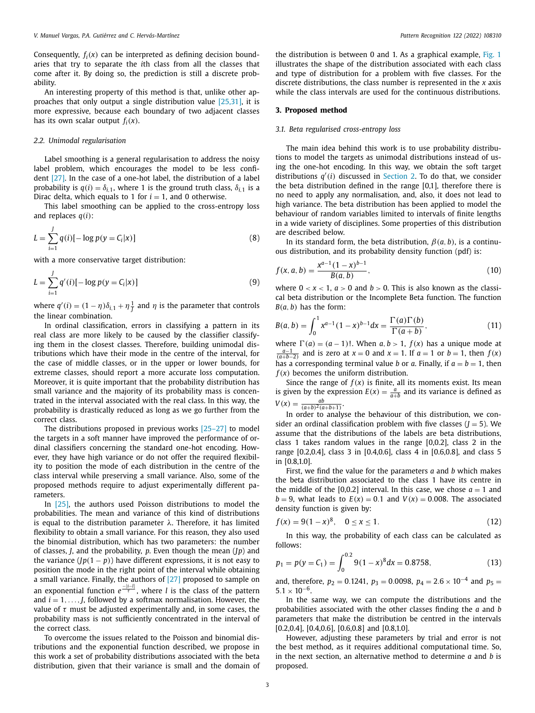<span id="page-2-0"></span>Consequently,  $f_i(x)$  can be interpreted as defining decision boundaries that try to separate the *i*th class from all the classes that come after it. By doing so, the prediction is still a discrete probability.

An interesting property of this method is that, unlike other approaches that only output a single distribution value [\[25,31\],](#page-9-0) it is more expressive, because each boundary of two adjacent classes has its own scalar output  $f_i(x)$ .

## *2.2. Unimodal regularisation*

Label smoothing is a general regularisation to address the noisy label problem, which encourages the model to be less confident [\[27\].](#page-9-0) In the case of a one-hot label, the distribution of a label probability is  $q(i) = \delta_{i,1}$ , where 1 is the ground truth class,  $\delta_{i,1}$  is a Dirac delta, which equals to 1 for  $i = 1$ , and 0 otherwise.

This label smoothing can be applied to the cross-entropy loss and replaces *q*(*i*):

$$
L = \sum_{i=1}^{J} q(i) [-\log p(y = C_i | x)] \tag{8}
$$

with a more conservative target distribution:

$$
L = \sum_{i=1}^{J} q'(i) [-\log p(y = C_i | x)] \tag{9}
$$

where  $q'(i) = (1 - \eta)\delta_{i,1} + \eta\frac{1}{J}$  and  $\eta$  is the parameter that controls the linear combination.

In ordinal classification, errors in classifying a pattern in its real class are more likely to be caused by the classifier classifying them in the closest classes. Therefore, building unimodal distributions which have their mode in the centre of the interval, for the case of middle classes, or in the upper or lower bounds, for extreme classes, should report a more accurate loss computation. Moreover, it is quite important that the probability distribution has small variance and the majority of its probability mass is concentrated in the interval associated with the real class. In this way, the probability is drastically reduced as long as we go further from the correct class.

The distributions proposed in previous works [\[25–27\]](#page-9-0) to model the targets in a soft manner have improved the performance of ordinal classifiers concerning the standard one-hot encoding. However, they have high variance or do not offer the required flexibility to position the mode of each distribution in the centre of the class interval while preserving a small variance. Also, some of the proposed methods require to adjust experimentally different parameters.

In [\[25\],](#page-9-0) the authors used Poisson distributions to model the probabilities. The mean and variance of this kind of distributions is equal to the distribution parameter  $\lambda$ . Therefore, it has limited flexibility to obtain a small variance. For this reason, they also used the binomial distribution, which has two parameters: the number of classes, *J*, and the probability, *p*. Even though the mean (*Jp*) and the variance  $(Ip(1 - p))$  have different expressions, it is not easy to position the mode in the right point of the interval while obtaining a small variance. Finally, the authors of [\[27\]](#page-9-0) proposed to sample on an exponential function  $e^{\frac{-|i-|l|}{τ}}$ , where *l* is the class of the pattern and  $i = 1, \ldots, J$ , followed by a softmax normalisation. However, the value of  $\tau$  must be adjusted experimentally and, in some cases, the probability mass is not sufficiently concentrated in the interval of the correct class.

To overcome the issues related to the Poisson and binomial distributions and the exponential function described, we propose in this work a set of probability distributions associated with the beta distribution, given that their variance is small and the domain of the distribution is between 0 and 1. As a graphical example, [Fig.](#page-3-0) 1 illustrates the shape of the distribution associated with each class and type of distribution for a problem with five classes. For the discrete distributions, the class number is represented in the *x* axis while the class intervals are used for the continuous distributions.

## **3. Proposed method**

## *3.1. Beta regularised cross-entropy loss*

The main idea behind this work is to use probability distributions to model the targets as unimodal distributions instead of using the one-hot encoding. In this way, we obtain the soft target distributions *q* (*i*) discussed in [Section](#page-1-0) 2. To do that, we consider the beta distribution defined in the range [0,1], therefore there is no need to apply any normalisation, and, also, it does not lead to high variance. The beta distribution has been applied to model the behaviour of random variables limited to intervals of finite lengths in a wide variety of disciplines. Some properties of this distribution are described below.

In its standard form, the beta distribution,  $\beta$ (*a*, *b*), is a continuous distribution, and its probability density function (pdf) is:

$$
f(x, a, b) = \frac{x^{a-1}(1-x)^{b-1}}{B(a, b)},
$$
\n(10)

where  $0 < x < 1$ ,  $a > 0$  and  $b > 0$ . This is also known as the classical beta distribution or the Incomplete Beta function. The function  $B(a, b)$  has the form:

$$
B(a,b) = \int_0^1 x^{a-1} (1-x)^{b-1} dx = \frac{\Gamma(a)\Gamma(b)}{\Gamma(a+b)},
$$
\n(11)

where  $\Gamma(a) = (a - 1)!$ . When  $a, b > 1$ ,  $f(x)$  has a unique mode at  $\frac{a-1}{(a+b-2)}$  and is zero at *x* = 0 and *x* = 1. If *a* = 1 or *b* = 1, then *f*(*x*) has a corresponding terminal value *b* or *a*. Finally, if  $a = b = 1$ , then *f*(*x*) becomes the uniform distribution.

Since the range of  $f(x)$  is finite, all its moments exist. Its mean is given by the expression  $E(x) = \frac{a}{a+b}$  and its variance is defined as  $V(x) = \frac{ab}{(a+b)^2(a+b+1)}$ .

In order to analyse the behaviour of this distribution, we consider an ordinal classification problem with five classes  $(J = 5)$ . We assume that the distributions of the labels are beta distributions, class 1 takes random values in the range [0,0.2], class 2 in the range [0.2,0.4], class 3 in [0.4,0.6], class 4 in [0.6,0.8], and class 5 in [0.8,1.0].

First, we find the value for the parameters *a* and *b* which makes the beta distribution associated to the class 1 have its centre in the middle of the [0,0.2] interval. In this case, we chose  $a = 1$  and  $b = 9$ , what leads to  $E(x) = 0.1$  and  $V(x) = 0.008$ . The associated density function is given by:

$$
f(x) = 9(1 - x)^8, \quad 0 \le x \le 1.
$$
 (12)

In this way, the probability of each class can be calculated as follows:

$$
p_1 = p(y = C_1) = \int_0^{0.2} 9(1 - x)^8 dx = 0.8758,
$$
 (13)

and, therefore,  $p_2 = 0.1241$ ,  $p_3 = 0.0098$ ,  $p_4 = 2.6 \times 10^{-4}$  and  $p_5 =$  $5.1 \times 10^{-6}$ .

In the same way, we can compute the distributions and the probabilities associated with the other classes finding the *a* and *b* parameters that make the distribution be centred in the intervals  $[0.2, 0.4]$ ,  $[0.4, 0.6]$ ,  $[0.6, 0.8]$  and  $[0.8, 1.0]$ .

However, adjusting these parameters by trial and error is not the best method, as it requires additional computational time. So, in the next section, an alternative method to determine *a* and *b* is proposed.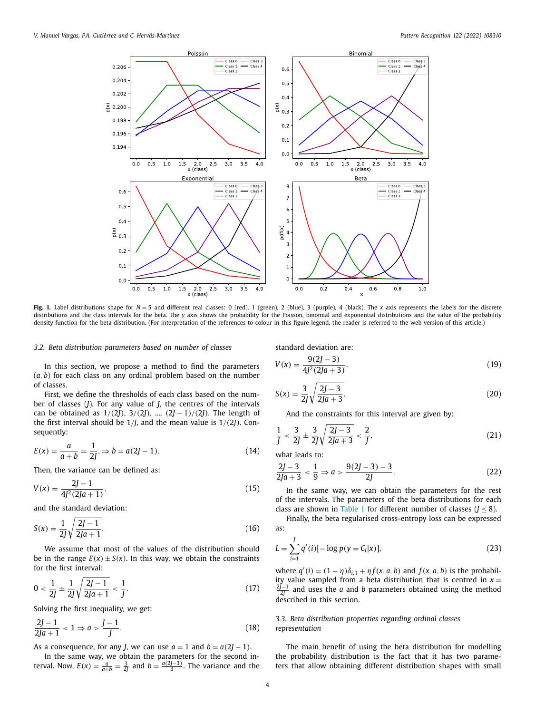<span id="page-3-0"></span>

**Fig. 1.** Label distributions shape for *N* = 5 and different real classes: 0 (red), 1 (green), 2 (blue), 3 (purple), 4 (black). The *x* axis represents the labels for the discrete distributions and the class intervals for the beta. The *y* axis shows the probability for the Poisson, binomial and exponential distributions and the value of the probability density function for the beta distribution. (For interpretation of the references to colour in this figure legend, the reader is referred to the web version of this article.)

## *3.2. Beta distribution parameters based on number of classes*

In this section, we propose a method to find the parameters (*a*, *b*) for each class on any ordinal problem based on the number of classes.

First, we define the thresholds of each class based on the number of classes (*J*). For any value of *J*, the centres of the intervals can be obtained as  $1/(2J)$ ,  $3/(2J)$ , ...,  $(2J - 1)/(2J)$ . The length of the first interval should be 1/*J*, and the mean value is 1/(2*J*). Consequently:

$$
E(x) = \frac{a}{a+b} = \frac{1}{2J}, \Rightarrow b = a(2J - 1).
$$
 (14)

Then, the variance can be defined as:

$$
V(x) = \frac{2J - 1}{4J^2(2Ja + 1)},
$$
\n(15)

and the standard deviation:

$$
S(x) = \frac{1}{2J} \sqrt{\frac{2J - 1}{2Ja + 1}}.
$$
\n(16)

We assume that most of the values of the distribution should be in the range  $E(x) \pm S(x)$ . In this way, we obtain the constraints for the first interval:

$$
0 < \frac{1}{2J} \pm \frac{1}{2J} \sqrt{\frac{2J - 1}{2Ja + 1}} < \frac{1}{J}.\tag{17}
$$

Solving the first inequality, we get:

$$
\frac{2J-1}{2Ja+1} < 1 \Rightarrow a > \frac{J-1}{J}.\tag{18}
$$

As a consequence, for any *J*, we can use  $a = 1$  and  $b = a(2J - 1)$ .

In the same way, we obtain the parameters for the second interval. Now,  $E(x) = \frac{a}{a+b} = \frac{3}{2j}$  and  $b = \frac{a(2j-3)}{3}$ . The variance and the standard deviation are:

$$
V(x) = \frac{9(2J - 3)}{4J^2(2Ja + 3)},
$$
\n(19)

$$
S(x) = \frac{3}{2J} \sqrt{\frac{2J - 3}{2Ja + 3}}.
$$
\n(20)

And the constraints for this interval are given by:

$$
\frac{1}{J} < \frac{3}{2J} \pm \frac{3}{2J} \sqrt{\frac{2J-3}{2Ja+3}} < \frac{2}{J},\tag{21}
$$

what leads to:

$$
\frac{2J-3}{2Ja+3} < \frac{1}{9} \Rightarrow a > \frac{9(2J-3)-3}{2J}.\tag{22}
$$

In the same way, we can obtain the parameters for the rest of the intervals. The parameters of the beta distributions for each class are shown in [Table](#page-4-0) 1 for different number of classes  $(J \leq 8)$ .

Finally, the beta regularised cross-entropy loss can be expressed as:

$$
L = \sum_{i=1}^{J} q'(i) [-\log p(y = C_i | x)],
$$
\n(23)

where  $q'(i) = (1 - \eta)\delta_{i,1} + \eta f(x, a, b)$  and  $f(x, a, b)$  is the probability value sampled from a beta distribution that is centred in  $x =$ 2*J*−1 <sup>2</sup>*<sup>J</sup>* and uses the *a* and *b* parameters obtained using the method described in this section.

## *3.3. Beta distribution properties regarding ordinal classes representation*

The main benefit of using the beta distribution for modelling the probability distribution is the fact that it has two parameters that allow obtaining different distribution shapes with small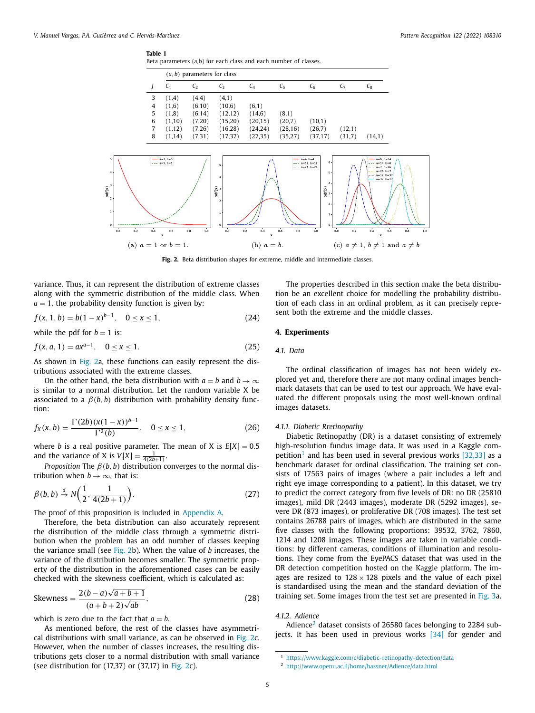## **Table 1**

Beta parameters (a,b) for each class and each number of classes.

<span id="page-4-0"></span>

**Fig. 2.** Beta distribution shapes for extreme, middle and intermediate classes.

variance. Thus, it can represent the distribution of extreme classes along with the symmetric distribution of the middle class. When  $a = 1$ , the probability density function is given by:

$$
f(x, 1, b) = b(1 - x)^{b-1}, \quad 0 \le x \le 1,
$$
\n(24)

while the pdf for  $b = 1$  is:

$$
f(x, a, 1) = ax^{a-1}, \quad 0 \le x \le 1.
$$
 (25)

As shown in Fig. 2a, these functions can easily represent the distributions associated with the extreme classes.

On the other hand, the beta distribution with  $a = b$  and  $b \rightarrow \infty$ is similar to a normal distribution. Let the random variable X be associated to a  $\beta(b, b)$  distribution with probability density function:

$$
f_X(x, b) = \frac{\Gamma(2b)(x(1-x))^{b-1}}{\Gamma^2(b)}, \quad 0 \le x \le 1,
$$
 (26)

where *b* is a real positive parameter. The mean of *X* is  $E[X] = 0.5$ and the variance of X is  $V[X] = \frac{1}{4(2b+1)}$ .

*Proposition* The  $\beta(b, b)$  distribution converges to the normal distribution when  $b \rightarrow \infty$ , that is:

$$
\beta(b, b) \stackrel{d}{\rightarrow} N\left(\frac{1}{2}, \frac{1}{4(2b+1)}\right). \tag{27}
$$

The proof of this proposition is included in [Appendix](#page-8-0) A.

Therefore, the beta distribution can also accurately represent the distribution of the middle class through a symmetric distribution when the problem has an odd number of classes keeping the variance small (see Fig. 2b). When the value of *b* increases, the variance of the distribution becomes smaller. The symmetric property of the distribution in the aforementioned cases can be easily checked with the skewness coefficient, which is calculated as:

Skewness = 
$$
\frac{2(b-a)\sqrt{a+b+1}}{(a+b+2)\sqrt{ab}},
$$
 (28)

which is zero due to the fact that  $a = b$ .

The properties described in this section make the beta distribution be an excellent choice for modelling the probability distribution of each class in an ordinal problem, as it can precisely represent both the extreme and the middle classes.

## **4. Experiments**

## *4.1. Data*

The ordinal classification of images has not been widely explored yet and, therefore there are not many ordinal images benchmark datasets that can be used to test our approach. We have evaluated the different proposals using the most well-known ordinal images datasets.

#### *4.1.1. Diabetic Rretinopathy*

Diabetic Retinopathy (DR) is a dataset consisting of extremely high-resolution fundus image data. It was used in a Kaggle competition<sup>1</sup> and has been used in several previous works  $[32,33]$  as a benchmark dataset for ordinal classification. The training set consists of 17563 pairs of images (where a pair includes a left and right eye image corresponding to a patient). In this dataset, we try to predict the correct category from five levels of DR: no DR (25810 images), mild DR (2443 images), moderate DR (5292 images), severe DR (873 images), or proliferative DR (708 images). The test set contains 26788 pairs of images, which are distributed in the same five classes with the following proportions: 39532, 3762, 7860, 1214 and 1208 images. These images are taken in variable conditions: by different cameras, conditions of illumination and resolutions. They come from the EyePACS dataset that was used in the DR detection competition hosted on the Kaggle platform. The images are resized to  $128 \times 128$  pixels and the value of each pixel is standardised using the mean and the standard deviation of the training set. Some images from the test set are presented in [Fig.](#page-5-0) 3a.

## *4.1.2. Adience*

Adience<sup>2</sup> dataset consists of 26580 faces belonging to 2284 sub-jects. It has been used in previous works [\[34\]](#page-9-0) for gender and

As mentioned before, the rest of the classes have asymmetrical distributions with small variance, as can be observed in Fig. 2c. However, when the number of classes increases, the resulting distributions gets closer to a normal distribution with small variance (see distribution for  $(17,37)$  or  $(37,17)$  in Fig. 2c).

<sup>1</sup> <https://www.kaggle.com/c/diabetic-retinopathy-detection/data>

<sup>2</sup> <http://www.openu.ac.il/home/hassner/Adience/data.html>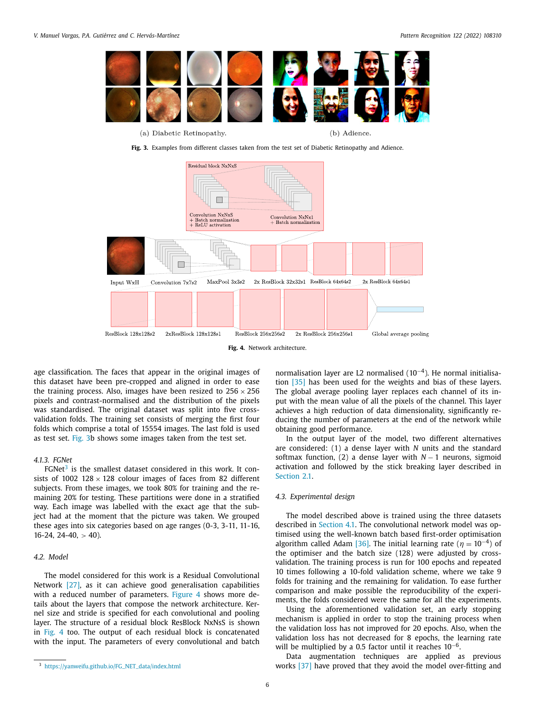<span id="page-5-0"></span>

(a) Diabetic Retinopathy.

(b) Adience.

**Fig. 3.** Examples from different classes taken from the test set of Diabetic Retinopathy and Adience.



age classification. The faces that appear in the original images of this dataset have been pre-cropped and aligned in order to ease the training process. Also, images have been resized to  $256 \times 256$ pixels and contrast-normalised and the distribution of the pixels was standardised. The original dataset was split into five crossvalidation folds. The training set consists of merging the first four folds which comprise a total of 15554 images. The last fold is used as test set. Fig. 3b shows some images taken from the test set.

## *4.1.3. FGNet*

 $FGNet<sup>3</sup>$  is the smallest dataset considered in this work. It consists of 1002 128  $\times$  128 colour images of faces from 82 different subjects. From these images, we took 80% for training and the remaining 20% for testing. These partitions were done in a stratified way. Each image was labelled with the exact age that the subject had at the moment that the picture was taken. We grouped these ages into six categories based on age ranges (0-3, 3-11, 11-16,  $16-24$ ,  $24-40$ ,  $> 40$ ).

## *4.2. Model*

The model considered for this work is a Residual Convolutional Network [\[27\],](#page-9-0) as it can achieve good generalisation capabilities with a reduced number of parameters. Figure 4 shows more details about the layers that compose the network architecture. Kernel size and stride is specified for each convolutional and pooling layer. The structure of a residual block ResBlock NxNsS is shown in Fig. 4 too. The output of each residual block is concatenated with the input. The parameters of every convolutional and batch

normalisation layer are L2 normalised (10<sup>−</sup>4). He normal initialisation [\[35\]](#page-9-0) has been used for the weights and bias of these layers. The global average pooling layer replaces each channel of its input with the mean value of all the pixels of the channel. This layer achieves a high reduction of data dimensionality, significantly reducing the number of parameters at the end of the network while obtaining good performance.

In the output layer of the model, two different alternatives are considered: (1) a dense layer with *N* units and the standard softmax function, (2) a dense layer with *N* − 1 neurons, sigmoid activation and followed by the stick breaking layer described in [Section](#page-1-0) 2.1

## *4.3. Experimental design*

The model described above is trained using the three datasets described in [Section](#page-4-0) 4.1. The convolutional network model was optimised using the well-known batch based first-order optimisation algorithm called Adam [\[36\].](#page-9-0) The initial learning rate ( $\eta = 10^{-4}$ ) of the optimiser and the batch size (128) were adjusted by crossvalidation. The training process is run for 100 epochs and repeated 10 times following a 10-fold validation scheme, where we take 9 folds for training and the remaining for validation. To ease further comparison and make possible the reproducibility of the experiments, the folds considered were the same for all the experiments.

Using the aforementioned validation set, an early stopping mechanism is applied in order to stop the training process when the validation loss has not improved for 20 epochs. Also, when the validation loss has not decreased for 8 epochs, the learning rate will be multiplied by a 0.5 factor until it reaches 10<sup>-6</sup>.

Data augmentation techniques are applied as previous works [\[37\]](#page-9-0) have proved that they avoid the model over-fitting and

<sup>3</sup> [https://yanweifu.github.io/FG\\_NET\\_data/index.html](https://yanweifu.github.io/FG_NET_data/index.html)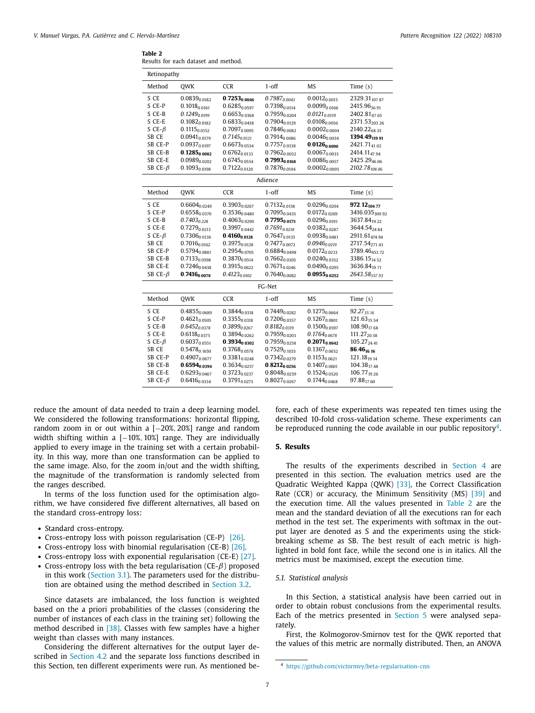<span id="page-6-0"></span>

|--|--|--|--|

|  |  | Results for each dataset and method. |
|--|--|--------------------------------------|
|  |  |                                      |

| Retinopathy    |                   |                          |                          |                            |                           |
|----------------|-------------------|--------------------------|--------------------------|----------------------------|---------------------------|
| Method         | <b>OWK</b>        | <b>CCR</b>               | $1$ -off                 | <b>MS</b>                  | Time $(s)$                |
| S CE           | $0.0839_{0.0182}$ | $0.7253_{0.0046}$        | $0.7987_{0.0043}$        | $0.0012_{0.0015}$          | 2329.31 107.87            |
| S CE-P         | $0.1018_{0.0161}$ | $0.6285_{0.0597}$        | 0.7398 <sub>0.0514</sub> | $0.0099$ <sub>0.0166</sub> | 2415.9636.91              |
| S CE-B         | $0.1249_{0.0199}$ | 0.6653 <sub>0.0368</sub> | $0.7959_{0.0204}$        | $0.0121_{0.0159}$          | 2402.8167.65              |
| $S$ CE-E       | $0.1082_{0.0182}$ | $0.6833_{0.0458}$        | $0.7904_{0.0129}$        | 0.0108 <sub>0.0056</sub>   | 2371.53203.26             |
| S CE- $\beta$  | $0.1115_{0.0152}$ | $0.7097_{0.0095}$        | $0.7846_{0.0082}$        | $0.0002_{0.0004}$          | 2140.226835               |
| SB CE          | $0.0941_{0.0179}$ | $0.7145_{0.0121}$        | $0.7914_{0.0086}$        | $0.0046_{0.0034}$          | 1394.49 <sub>119.91</sub> |
| SB CE-P        | $0.0937_{0.0197}$ | $0.6673_{0.0534}$        | $0.7757_{0.0338}$        | $0.0126_{0.0090}$          | 2421.71 <sub>41.02</sub>  |
| SB CE-B        | $0.1285_{0.0082}$ | $0.6762_{0.0133}$        | $0.7962_{0.0032}$        | $0.0067_{0.0033}$          | 2414.1147.94              |
| SB CE-E        | $0.0989_{0.0202}$ | $0.6745_{0.0554}$        | $0.7993_{0.0168}$        | $0.0086_{0.0057}$          | 2425.29 <sub>46.06</sub>  |
| SB CE- $\beta$ | $0.1093_{0.0198}$ | $0.7122_{0.0120}$        | $0.7876_{0.0104}$        | $0.0002_{0.0005}$          | 2102.78 $108.06$          |
|                |                   |                          | Adience                  |                            |                           |
| Method         | <b>OWK</b>        | <b>CCR</b>               | $1$ -off                 | MS                         | Time $(s)$                |
| S CE           | $0.6604$ 0.0249   | 0.3903 <sub>0.0267</sub> | $0.7132_{0.0158}$        | $0.0296_{0.0204}$          | 972.12 <sub>104.77</sub>  |
| S CE-P         | $0.6558_{0.0370}$ | 0.35360.0480             | $0.7095_{0.0435}$        | $0.0172_{0.0269}$          | 3416.035300.92            |
| S CE-B         | $0.7403_{0.228}$  | $0.4063_{0.0290}$        | $0.7795_{0.0175}$        | $0.0296_{0.0191}$          | 3637.8419.22              |
| S CE-E         | $0.7279_{0.0213}$ | $0.3997_{0.0442}$        | $0.7691_{0.0218}$        | $0.0382_{0.0287}$          | 3644.5424.84              |
| S CE- $\beta$  | $0.7306_{0.0136}$ | $0.4160_{0.0128}$        | $0.7647_{0.0135}$        | $0.0938_{0.0481}$          | 2911.61474.94             |
| SB CE          | $0.7016_{0.0162}$ | $0.3975_{0.0128}$        | $0.7477_{0.0072}$        | $0.0946_{0.0219}$          | 2717.54 <sub>271.43</sub> |
| SB CE-P        | $0.5794_{0.0881}$ | $0.2954_{0.0705}$        | $0.6884_{0.0498}$        | $0.0172_{0.0233}$          | 3789.46453.72             |
| SB CE-B        | $0.7133_{0.0598}$ | $0.3870_{0.0514}$        | $0.7662_{0.0305}$        | $0.0240_{0.0352}$          | 3386.15 <sub>14.52</sub>  |
| SB CE-E        | $0.7246_{0.0438}$ | $0.3915_{0.0622}$        | $0.7671_{0.0246}$        | $0.0490_{0.0295}$          | 3636.84 <sub>19.71</sub>  |
| SB CE- $\beta$ | $0.7416_{0.0078}$ | $0.4123_{0.0102}$        | $0.7640_{0.0082}$        | $0.0955_{0.0252}$          | 2643.58557.93             |
|                |                   |                          | FG-Net                   |                            |                           |
| Method         | OWK               | <b>CCR</b>               | $1$ -off                 | <b>MS</b>                  | Time $(s)$                |
| S CE           | 0.48550.0689      | $0.3844_{0.0318}$        | $0.7449_{0.0282}$        | $0.1275_{0.0664}$          | 92.2735.16                |
| S CE-P         | $0.4621_{0.0505}$ | $0.3355_{0.0318}$        | $0.7206_{0.0357}$        | $0.1267_{0.0801}$          | $121.63_{15.54}$          |
| S CE-B         | $0.6452_{0.0378}$ | $0.3899_{0.0267}$        | $0.8182_{0.0319}$        | $0.1500_{0.0597}$          | 108.9017.68               |
| S CE-E         | $0.6118_{0.0375}$ | $0.3894_{0.0262}$        | $0.7959_{0.0203}$        | $0.1764_{0.0678}$          | 111.27 <sub>20.58</sub>   |
| S CE- $\beta$  | $0.6037_{0.0551}$ | $0.3934_{0.0302}$        | $0.7959_{0.0258}$        | $0.2071_{0.0642}$          | 105.27 <sub>24.41</sub>   |
| SB CE          | $0.5478_{0.1650}$ | $0.3768_{0.0578}$        | $0.7529_{0.1035}$        | $0.1367_{0.0652}$          | 86.4616.16                |
| SB CE-P        | $0.4907_{0.0677}$ | $0.3381_{0.0248}$        | $0.7342_{0.0279}$        | $0.1153_{0.0621}$          | 121.18 <sub>19.14</sub>   |
| SB CE-B        | $0.6594_{0.0394}$ | 0.36340.0257             | $0.8212_{0.0256}$        | $0.1407_{0.0601}$          | 104.3817.48               |
| SB CE-E        | $0.6293_{0.0467}$ | $0.3723_{0.0237}$        | $0.8048_{0.0259}$        | $0.1524_{0.0520}$          | 106.7719.26               |
| SB CE- $\beta$ | $0.6416_{0.0334}$ | $0.3791_{0.0275}$        | $0.8027_{0.0267}$        | $0.1744_{0.0468}$          | 97.88 <sub>17.60</sub>    |

reduce the amount of data needed to train a deep learning model. We considered the following transformations: horizontal flipping, random zoom in or out within a [−20%, 20%] range and random width shifting within a [−10%, 10%] range. They are individually applied to every image in the training set with a certain probability. In this way, more than one transformation can be applied to the same image. Also, for the zoom in/out and the width shifting, the magnitude of the transformation is randomly selected from the ranges described.

In terms of the loss function used for the optimisation algorithm, we have considered five different alternatives, all based on the standard cross-entropy loss:

- Standard cross-entropy.
- Cross-entropy loss with poisson regularisation (CE-P) [\[26\].](#page-9-0)
- Cross-entropy loss with binomial regularisation (CE-B) [\[26\].](#page-9-0)
- Cross-entropy loss with exponential regularisation (CE-E) [\[27\].](#page-9-0)
- Cross-entropy loss with the beta regularisation ( $CE$ - $\beta$ ) proposed in this work [\(Section](#page-2-0) 3.1). The parameters used for the distribution are obtained using the method described in [Section](#page-3-0) 3.2.

Since datasets are imbalanced, the loss function is weighted based on the a priori probabilities of the classes (considering the number of instances of each class in the training set) following the method described in [\[38\].](#page-9-0) Classes with few samples have a higher weight than classes with many instances.

Considering the different alternatives for the output layer described in [Section](#page-5-0) 4.2 and the separate loss functions described in this Section, ten different experiments were run. As mentioned before, each of these experiments was repeated ten times using the described 10-fold cross-validation scheme. These experiments can be reproduced running the code available in our public repositor  $v^4$ .

## **5. Results**

The results of the experiments described in [Section](#page-4-0) 4 are presented in this section. The evaluation metrics used are the Quadratic Weighted Kappa (QWK) [\[33\],](#page-9-0) the Correct Classification Rate (CCR) or accuracy, the Minimum Sensitivity (MS) [\[39\]](#page-9-0) and the execution time. All the values presented in Table 2 are the mean and the standard deviation of all the executions ran for each method in the test set. The experiments with softmax in the output layer are denoted as S and the experiments using the stickbreaking scheme as SB. The best result of each metric is highlighted in bold font face, while the second one is in italics. All the metrics must be maximised, except the execution time.

## *5.1. Statistical analysis*

In this Section, a statistical analysis have been carried out in order to obtain robust conclusions from the experimental results. Each of the metrics presented in Section 5 were analysed separately.

First, the Kolmogorov-Smirnov test for the QWK reported that the values of this metric are normally distributed. Then, an ANOVA

<sup>4</sup> <https://github.com/victormvy/beta-regularisation-cnn>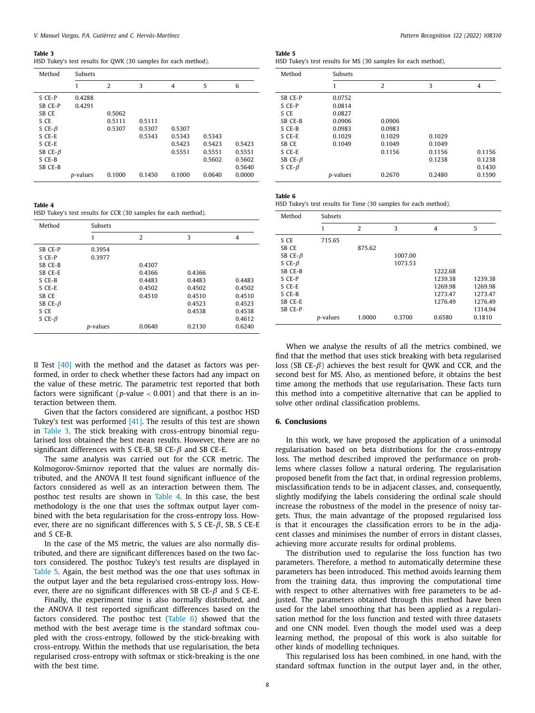#### <span id="page-7-0"></span>**Table 3**

HSD Tukey's test results for QWK (30 samples for each method).

| Method                                                        | <b>Subsets</b>   |                            |                            |                            |                                      |                                                |
|---------------------------------------------------------------|------------------|----------------------------|----------------------------|----------------------------|--------------------------------------|------------------------------------------------|
|                                                               | 1                | $\overline{2}$             | 3                          | $\overline{4}$             | 5                                    | 6                                              |
| S CE-P<br>SB CE-P<br>SB CE<br>S CE<br>S CE- $\beta$<br>S CE-E | 0.4288<br>0.4291 | 0.5062<br>0.5111<br>0.5307 | 0.5111<br>0.5307<br>0.5343 | 0.5307<br>0.5343           | 0.5343                               |                                                |
| S CE-E<br>SB CE- $\beta$<br>S CE-B<br>SB CE-B                 | <i>p</i> -values | 0.1000                     | 0.1450                     | 0.5423<br>0.5551<br>0.1000 | 0.5423<br>0.5551<br>0.5602<br>0.0640 | 0.5423<br>0.5551<br>0.5602<br>0.5640<br>0.0000 |

**Table 4**

HSD Tukey's test results for CCR (30 samples for each method).

| Method         | <b>Subsets</b>   |                |        |        |  |
|----------------|------------------|----------------|--------|--------|--|
|                |                  | $\overline{2}$ | 3      | 4      |  |
| SB CE-P        | 0.3954           |                |        |        |  |
| S CE-P         | 0.3977           |                |        |        |  |
| SB CE-B        |                  | 0.4307         |        |        |  |
| SB CE-E        |                  | 0.4366         | 0.4366 |        |  |
| S CE-B         |                  | 0.4483         | 0.4483 | 0.4483 |  |
| S CE-E         |                  | 0.4502         | 0.4502 | 0.4502 |  |
| SB CE          |                  | 0.4510         | 0.4510 | 0.4510 |  |
| SB CE- $\beta$ |                  |                | 0.4523 | 0.4523 |  |
| S CE           |                  |                | 0.4538 | 0.4538 |  |
| S CE- $\beta$  |                  |                |        | 0.4612 |  |
|                | <i>p</i> -values | 0.0640         | 0.2130 | 0.6240 |  |

II Test  $[40]$  with the method and the dataset as factors was performed, in order to check whether these factors had any impact on the value of these metric. The parametric test reported that both factors were significant ( $p$ -value  $< 0.001$ ) and that there is an interaction between them.

Given that the factors considered are significant, a posthoc HSD Tukey's test was performed  $[41]$ . The results of this test are shown in Table 3. The stick breaking with cross-entropy binomial regularised loss obtained the best mean results. However, there are no significant differences with S CE-B, SB CE- $\beta$  and SB CE-E.

The same analysis was carried out for the CCR metric. The Kolmogorov-Smirnov reported that the values are normally distributed, and the ANOVA II test found significant influence of the factors considered as well as an interaction between them. The posthoc test results are shown in Table 4. In this case, the best methodology is the one that uses the softmax output layer combined with the beta regularisation for the cross-entropy loss. However, there are no significant differences with S, S CE- $\beta$ , SB, S CE-E and S CE-B.

In the case of the MS metric, the values are also normally distributed, and there are significant differences based on the two factors considered. The posthoc Tukey's test results are displayed in Table 5. Again, the best method was the one that uses softmax in the output layer and the beta regularised cross-entropy loss. However, there are no significant differences with SB CE- $\beta$  and S CE-E.

Finally, the experiment time is also normally distributed, and the ANOVA II test reported significant differences based on the factors considered. The posthoc test (Table 6) showed that the method with the best average time is the standard softmax coupled with the cross-entropy, followed by the stick-breaking with cross-entropy. Within the methods that use regularisation, the beta regularised cross-entropy with softmax or stick-breaking is the one with the best time.

**Table 5** HSD Tukey's test results for MS (30 samples for each method).

| Method         | <b>Subsets</b>   |                |        |                |  |
|----------------|------------------|----------------|--------|----------------|--|
|                |                  | $\overline{2}$ | 3      | $\overline{4}$ |  |
| SB CE-P        | 0.0752           |                |        |                |  |
| S CE-P         | 0.0814           |                |        |                |  |
| S CE           | 0.0827           |                |        |                |  |
| SB CE-B        | 0.0906           | 0.0906         |        |                |  |
| S CE-B         | 0.0983           | 0.0983         |        |                |  |
| S CE-E         | 0.1029           | 0.1029         | 0.1029 |                |  |
| SB CE          | 0.1049           | 0.1049         | 0.1049 |                |  |
| S CE-E         |                  | 0.1156         | 0.1156 | 0.1156         |  |
| SB CE- $\beta$ |                  |                | 0.1238 | 0.1238         |  |
| S CE- $\beta$  |                  |                |        | 0.1430         |  |
|                | <i>p</i> -values | 0.2670         | 0.2480 | 0.1590         |  |

**Table 6**

HSD Tukey's test results for Time (30 samples for each method).

| Method         | Subsets          |                |         |         |         |
|----------------|------------------|----------------|---------|---------|---------|
|                |                  | $\overline{2}$ | 3       | 4       | 5       |
| S CE           | 715.65           |                |         |         |         |
| SB CE          |                  | 875.62         |         |         |         |
| SB CE- $\beta$ |                  |                | 1007.00 |         |         |
| S CE- $\beta$  |                  |                | 1073.53 |         |         |
| SB CE-B        |                  |                |         | 1222.68 |         |
| S CE-P         |                  |                |         | 1239.38 | 1239.38 |
| S CE-E         |                  |                |         | 1269.98 | 1269.98 |
| S CE-B         |                  |                |         | 1273.47 | 1273.47 |
| SB CE-E        |                  |                |         | 1276.49 | 1276.49 |
| SB CE-P        |                  |                |         |         | 1314.94 |
|                | <i>p</i> -values | 1.0000         | 0.3700  | 0.6580  | 0.1810  |

When we analyse the results of all the metrics combined, we find that the method that uses stick breaking with beta regularised loss (SB CE- $\beta$ ) achieves the best result for QWK and CCR, and the second best for MS. Also, as mentioned before, it obtains the best time among the methods that use regularisation. These facts turn this method into a competitive alternative that can be applied to solve other ordinal classification problems.

#### **6. Conclusions**

In this work, we have proposed the application of a unimodal regularisation based on beta distributions for the cross-entropy loss. The method described improved the performance on problems where classes follow a natural ordering. The regularisation proposed benefit from the fact that, in ordinal regression problems, misclassification tends to be in adjacent classes, and, consequently, slightly modifying the labels considering the ordinal scale should increase the robustness of the model in the presence of noisy targets. Thus, the main advantage of the proposed regularised loss is that it encourages the classification errors to be in the adjacent classes and minimises the number of errors in distant classes, achieving more accurate results for ordinal problems.

The distribution used to regularise the loss function has two parameters. Therefore, a method to automatically determine these parameters has been introduced. This method avoids learning them from the training data, thus improving the computational time with respect to other alternatives with free parameters to be adjusted. The parameters obtained through this method have been used for the label smoothing that has been applied as a regularisation method for the loss function and tested with three datasets and one CNN model. Even though the model used was a deep learning method, the proposal of this work is also suitable for other kinds of modelling techniques.

This regularised loss has been combined, in one hand, with the standard softmax function in the output layer and, in the other,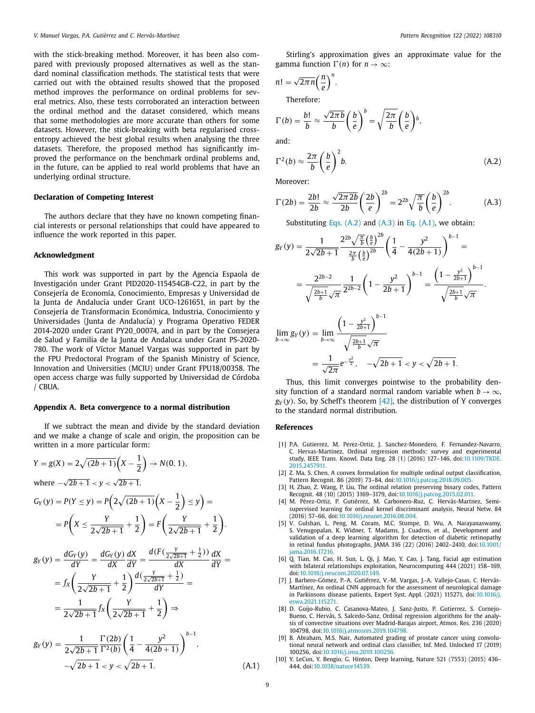<span id="page-8-0"></span>with the stick-breaking method. Moreover, it has been also compared with previously proposed alternatives as well as the standard nominal classification methods. The statistical tests that were carried out with the obtained results showed that the proposed method improves the performance on ordinal problems for several metrics. Also, these tests corroborated an interaction between the ordinal method and the dataset considered, which means that some methodologies are more accurate than others for some datasets. However, the stick-breaking with beta regularised crossentropy achieved the best global results when analysing the three datasets. Therefore, the proposed method has significantly improved the performance on the benchmark ordinal problems and, in the future, can be applied to real world problems that have an underlying ordinal structure.

## **Declaration of Competing Interest**

The authors declare that they have no known competing financial interests or personal relationships that could have appeared to influence the work reported in this paper.

## **Acknowledgment**

This work was supported in part by the Agencia Espaola de Investigación under Grant PID2020-115454GB-C22, in part by the Consejería de Economía, Conocimiento, Empresas y Universidad de la Junta de Andalucía under Grant UCO-1261651, in part by the Consejería de Transformacin Económica, Industria, Conocimiento y Universidades (Junta de Andalucía) y Programa Operativo FEDER 2014-2020 under Grant PY20\_00074, and in part by the Consejera de Salud y Familia de la Junta de Andaluca under Grant PS-2020- 780. The work of Víctor Manuel Vargas was supported in part by the FPU Predoctoral Program of the Spanish Ministry of Science, Innovation and Universities (MCIU) under Grant FPU18/00358. The open access charge was fully supported by Universidad de Córdoba / CBUA.

## **Appendix A. Beta convergence to a normal distribution**

If we subtract the mean and divide by the standard deviation and we make a change of scale and origin, the proposition can be written in a more particular form:

$$
Y = g(X) = 2\sqrt{(2b+1)}\left(X - \frac{1}{2}\right) \to N(0, 1),
$$
  
where  $-\sqrt{2b+1} < y < \sqrt{2b+1}$ .

$$
G_Y(y) = P(Y \le y) = P\left(2\sqrt{(2b+1)}\left(X - \frac{1}{2}\right) \le y\right) =
$$
  
=  $P\left(X \le \frac{Y}{2\sqrt{2b+1}} + \frac{1}{2}\right) = F\left(\frac{Y}{2\sqrt{2b+1}} + \frac{1}{2}\right).$ 

$$
g_Y(y) = \frac{dG_Y(y)}{dY} = \frac{dG_Y(y)}{dX} \frac{dX}{dY} = \frac{d(F(\frac{Y}{2\sqrt{2b+1}} + \frac{1}{2}))}{dX} \frac{dX}{dY} =
$$
  
=  $f_X \left( \frac{Y}{2\sqrt{2b+1}} + \frac{1}{2} \right) \frac{d(\frac{Y}{2\sqrt{2b+1}} + \frac{1}{2})}{dY} =$   
=  $\frac{1}{2\sqrt{2b+1}} f_X \left( \frac{Y}{2\sqrt{2b+1}} + \frac{1}{2} \right) \Rightarrow$   
 $g_Y(y) = \frac{1}{2\sqrt{2b+1}} \frac{\Gamma(2b)}{\Gamma^2(b)} \left( \frac{1}{4} - \frac{y^2}{4(2b+1)} \right)^{b-1},$ 

$$
-\sqrt{2b+1} < y < \sqrt{2b+1}.\tag{A.1}
$$

.

Stirling's approximation gives an approximate value for the gamma function  $\Gamma(n)$  for  $n \to \infty$ :

$$
n! = \sqrt{2\pi n} \left(\frac{n}{e}\right)^n.
$$

Therefore:

$$
\Gamma(b) = \frac{b!}{b} \approx \frac{\sqrt{2\pi b}}{b} \left(\frac{b}{e}\right)^b = \sqrt{\frac{2\pi}{b}} \left(\frac{b}{e}\right)^b,
$$

and:

$$
\Gamma^2(b) \approx \frac{2\pi}{b} \left(\frac{b}{e}\right)^2 b. \tag{A.2}
$$

Moreover:

$$
\Gamma(2b) = \frac{2b!}{2b} \approx \frac{\sqrt{2\pi 2b}}{2b} \left(\frac{2b}{e}\right)^{2b} = 2^{2b} \sqrt{\frac{\pi}{b}} \left(\frac{b}{e}\right)^{2b}.
$$
 (A.3)

Substituting Eqs.  $(A.2)$  and  $(A.3)$  in Eq.  $(A.1)$ , we obtain: 2*b*

$$
g_Y(y) = \frac{1}{2\sqrt{2b+1}} \frac{2^{2b}\sqrt{\frac{\pi}{b}}\left(\frac{b}{e}\right)^{2b}}{\frac{2\pi}{b}\left(\frac{b}{e}\right)^{2b}} \left(\frac{1}{4} - \frac{y^2}{4(2b+1)}\right)^{b-1} =
$$
  

$$
= \frac{2^{2b-2}}{\sqrt{\frac{2b+1}{b}}\sqrt{\pi}} \frac{1}{2^{2b-2}} \left(1 - \frac{y^2}{2b+1}\right)^{b-1} = \frac{\left(1 - \frac{y^2}{2b+1}\right)^{b-1}}{\sqrt{\frac{2b+1}{b}}\sqrt{\pi}}
$$
  

$$
\lim_{b \to \infty} g_Y(y) = \lim_{b \to \infty} \frac{\left(1 - \frac{y^2}{2b+1}\right)^{b-1}}{\sqrt{\frac{2b+1}{b}}\sqrt{\pi}}
$$
  

$$
= \frac{1}{\sqrt{2\pi}} e^{-\frac{y^2}{2}}, \quad -\sqrt{2b+1} < y < \sqrt{2b+1}.
$$

Thus, this limit converges pointwise to the probability density function of a standard normal random variable when  $b \rightarrow \infty$ ,  $g_Y(y)$ . So, by Scheff's theorem [\[42\],](#page-9-0) the distribution of Y converges to the standard normal distribution.

## **References**

- [1] P.A. Gutierrez, M. Perez-Ortiz, J. Sanchez-Monedero, F. Fernandez-Navarro, C. Hervas-Martinez, Ordinal regression methods: survey and experimental study, IEEE Trans. Knowl. Data Eng. 28 (1) (2016) 127–146, [doi:10.1109/TKDE.](https://doi.org/10.1109/TKDE.2015.2457911) 2015.2457911.
- [2] Z. Ma, S. Chen, A convex formulation for multiple ordinal output classification, Pattern Recognit. 86 (2019) 73–84, doi[:10.1016/j.patcog.2018.09.005.](https://doi.org/10.1016/j.patcog.2018.09.005)
- [3] H. Zhao, Z. Wang, P. Liu, The ordinal relation preserving binary codes, Pattern Recognit. 48 (10) (2015) 3169–3179, doi[:10.1016/j.patcog.2015.02.011.](https://doi.org/10.1016/j.patcog.2015.02.011)
- [4] M. Pérez-Ortiz, P. Gutiérrez, M. Carbonero-Ruz, C. Hervás-Martnez, Semisupervised learning for ordinal kernel discriminant analysis, Neural Netw. 84 (2016) 57–66, doi[:10.1016/j.neunet.2016.08.004.](https://doi.org/10.1016/j.neunet.2016.08.004)
- [5] V. Gulshan, L. Peng, M. Coram, M.C. Stumpe, D. Wu, A. Narayanaswamy, S. Venugopalan, K. Widner, T. Madams, J. Cuadros, et al., Development and validation of a deep learning algorithm for detection of diabetic retinopathy in retinal fundus photographs, JAMA 316 (22) (2016) 2402–2410, doi:10.1001/ [jama.2016.17216.](https://doi.org/10.1001/jama.2016.17216)
- [6] Q. Tian, M. Cao, H. Sun, L. Qi, J. Mao, Y. Cao, J. Tang, Facial age estimation with bilateral relationships exploitation, Neurocomputing 444 (2021) 158–169, doi[:10.1016/j.neucom.2020.07.149.](https://doi.org/10.1016/j.neucom.2020.07.149)
- [7] J. Barbero-Gómez, P.-A. Gutiérrez, V.-M. Vargas, J.-A. Vallejo-Casas, C. Hervás-Martínez, An ordinal CNN approach for the assessment of neurological damage in Parkinsons disease patients, Expert Syst. Appl. (2021) 115271, doi:10.1016/j. [eswa.2021.115271.](https://doi.org/10.1016/j.eswa.2021.115271)
- [8] D. Guijo-Rubio, C. Casanova-Mateo, J. Sanz-Justo, P. Gutierrez, S. Cornejo-Bueno, C. Hervás, S. Salcedo-Sanz, Ordinal regression algorithms for the analysis of convective situations over Madrid-Barajas airport, Atmos. Res. 236 (2020) 104798, doi[:10.1016/j.atmosres.2019.104798.](https://doi.org/10.1016/j.atmosres.2019.104798)
- [9] B. Abraham, M.S. Nair, Automated grading of prostate cancer using convolutional neural network and ordinal class classifier, Inf. Med. Unlocked 17 (2019) 100256, doi[:10.1016/j.imu.2019.100256.](https://doi.org/10.1016/j.imu.2019.100256)
- [10] Y. LeCun, Y. Bengio, G. Hinton, Deep learning, Nature 521 (7553) (2015) 436– 444, doi[:10.1038/nature14539.](https://doi.org/10.1038/nature14539)